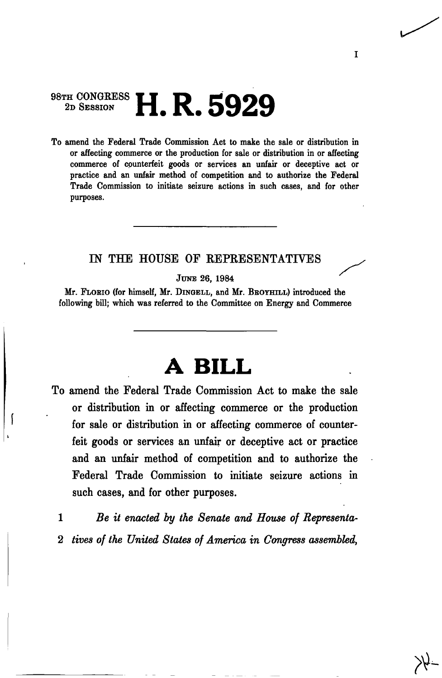## $^{98}$ TH CONGRESS **LIDE COOO 2D SESSION 11. R. 0929**

To amend the Federal Trade Commission Act to make the sale or distribution in or affecting commerce or the production for sale or distribution in or affecting commerce of counterfeit goods or services an unfair or deceptive act or practice and an unfair method of competition and to authorize the Federal Trade Commission to initiate seizure actions in such cases, and for other purposes.

## IN THE HOUSE OF REPRESENTATIVES

JUNE 26, 1984

Mr. FLOBIO (for himself, Mr. DINGELL, and Mr. BBOYHILL) introduced the following bill; which was referred to the Committee on Energy and Commerce

## **A BILL**

amend the Federal Trade Commission Act to make the sale **To**  or distribution in or affecting commerce or the production for sale or distribution in or affecting commerce of counterfeit goods or services an unfair or deceptive act or practice and an unfair method of competition and to authorize the Federal Trade Commission to initiate seizure actions in such cases, and for other purposes.

**(** 

1 *Be it enacted by the Senate and House of Representa-*2 *tives of the United States of America in Congress assembled,* 

I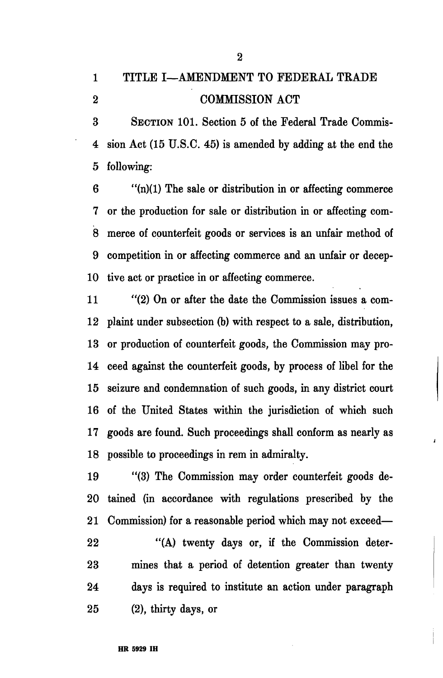2

3 SECTION 101. Section 5 of the Federal Trade Commis-4 sion Act (15 U.S.C. 45) is amended by adding at the end the 5 following:

 $6$  "(n)(1) The sale or distribution in or affecting commerce 7 or the production for sale or distribution in or affecting com-8 merce of counterfeit goods or services is an unfair method of 9 competition in or affecting commerce and an unfair or decep-10 tive act or practice in or affecting commerce.

11 "(2) On or after the date the Commission issues a com-12 plaint under subsection (b) with respect to a sale, distribution, 13 or production of counterfeit goods, the Commission may pro-14 ceed against the counterfeit goods, by process of libel for the 15 seizure and condemnation of such goods, in any district court 16 of the United States within the jurisdiction of which such 17 goods are found. Such proceedings shall conform as nearly as 18 possible to proceedings in rem in admiralty.

19 "(3) The Commission may order counterfeit goods de-20 tained (in accordance with regulations prescribed by the 21 Commission) for a reasonable period which may not exceed $\boldsymbol{I}$ 

22 "(A) twenty days or, if the Commission deter-23 mines that a period of detention greater than twenty 24 days is required to institute an action under paragraph  $25$  (2), thirty days, or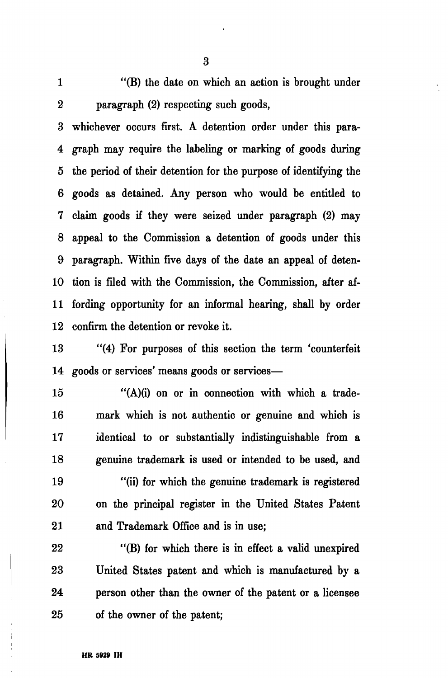## 1 "(B) the date on which an action is brought under 2 paragraph (2) respecting such goods,

3 whichever occurs first. A detention order under this para-4 graph may require the labeling or marking of goods during 5 the period of their detention for the purpose of identifying the 6 goods as detained. Any person who would be entitled to 7 claim goods if they were seized under paragraph (2) may 8 appeal to the Commission a detention of goods under this 9 paragraph. Within five days of the date an appeal of deten-10 tion is filed with the Commission, the Commission, after af-11 fording opportunity for an informal hearing, shall by order 12 confirm the detention or revoke it.

13 "(4) For purposes of this section the term 'counterfeit 14 goods or services' means goods or services—

15 "(A)(i) on or in connection with which a trade-16 mark which is not authentic or genuine and which is 17 identical to or substantially indistinguishable from a 18 genuine trademark is used or intended to be used, and 19 "(ii) for which the genuine trademark is registered 20 on the principal register in the United States Patent 21 and Trademark Office and is in use;

22 "(B) for which there is in effect a valid unexpired 23 United States patent and which is manufactured by a 24 person other than the owner of the patent or a licensee 25 of the owner of the patent;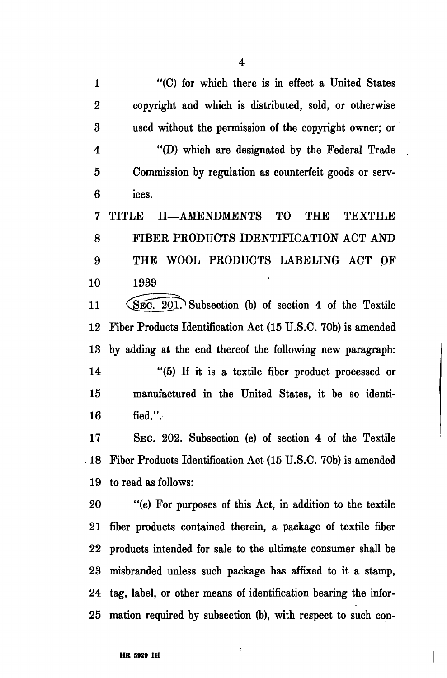1 "(C) for which there is in effect a United States 2 copyright and which is distributed, sold, or otherwise 3 used without the permission of the copyright owner; or 4 "(D) which are designated by the Federal Trade 5 Commission by regulation as counterfeit goods or serv-6 ices.

7 TITLE H—AMENDMENTS TO THE TEXTILE 8 FIBER PRODUCTS IDENTIFICATION ACT AND 9 THE WOOL PRODUCTS LABELING ACT OF 10 1939

11 (SEC. 201.) Subsection (b) of section 4 of the Textile 12 Fiber Products Identification Act (15 U.S.C. 70b) is amended 13 by adding at the end thereof the following new paragraph: 14 "(5) If it is a textile fiber product processed or 15 manufactured in the United States, it be so identi- $16$  fied.".

17 SEC. 202. Subsection (e) of section 4 of the Textile 18 Fiber Products Identification Act (15 U.S.C. 70b) is amended 19 to read as follows:

20 "(e) For purposes of this Act, in addition to the textile 21 fiber products contained therein, a package of textile fiber 22 products intended for sale to the ultimate consumer shall be 23 misbranded unless such package has affixed to it a stamp, 24 tag, label, or other means of identification bearing the infor-25 mation required by subsection (b), with respect to such con-

 $\ddot{\cdot}$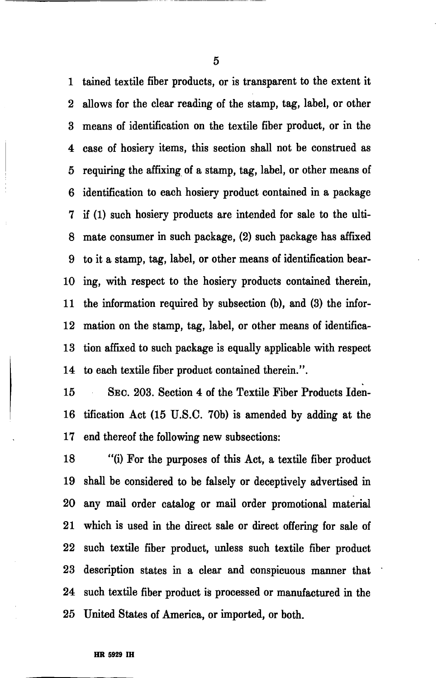1 tained textile fiber products, or is transparent to the extent it 2 allows for the clear reading of the stamp, tag, label, or other 3 means of identification on the textile fiber product, or in the 4 case of hosiery items, this section shall not be construed as 5 requiring the affixing of a stamp, tag, label, or other means of 6 identification to each hosiery product contained in a package 7 if (1) such hosiery products are intended for sale to the ulti-8 mate consumer in such package, (2) such package has affixed 9 to it a stamp, tag, label, or other means of identification bear-10 ing, with respect to the hosiery products contained therein, 11 the information required by subsection (b), and (3) the infor-12 mation on the stamp, tag, label, or other means of identifica-13 tion affixed to such package is equally applicable with respect 14 to each textile fiber product contained therein.".

15 SEC. 203. Section 4 of the Textile Fiber Products Iden-16 tification Act (15 U.S.C. 70b) is amended by adding at the 17 end thereof the following new subsections:

18 "(i) For the purposes of this Act, a textile fiber product 19 shall be considered to be falsely or deceptively advertised in 20 any mail order catalog or mail order promotional material 21 which is used in the direct sale or direct offering for sale of 22 such textile fiber product, unless such textile fiber product 23 description states in a clear and conspicuous manner that 24 such textile fiber product is processed or manufactured in the 25 United States of America, or imported, or both.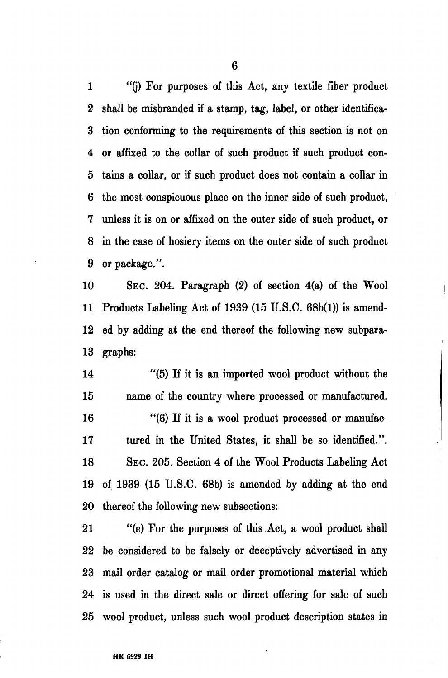1 "(j) For purposes of this Act, any textile fiber product 2 shall be misbranded if a stamp, tag, label, or other identifica-3 tion conforming to the requirements of this section is not on 4 or affixed to the collar of such product if such product con-5 tains a collar, or if such product does not contain a collar in 6 the most conspicuous place on the inner side of such product, 7 unless it is on or affixed on the outer side of such product, or 8 in the case of hosiery items on the outer side of such product 9 or package.".

10 SEC. 204. Paragraph (2) of section 4(a) of the Wool 11 Products Labeling Act of 1939 (15 U.S.C. 68b(l)) is amend-12 ed by adding at the end thereof the following new subpara-13 graphs:

14 "(5) If it is an imported wool product without the 15 name of the country where processed or manufactured. 16 "(6) If it is a wool product processed or manufac-17 tured in the United States, it shall be so identified.". 18 SEC. 205. Section 4 of the Wool Products Labeling Act 19 of 1939 (15 U.S.C. 68b) is amended by adding at the end 20 thereof the following new subsections:

21 "(e) For the purposes of this Act, a wool product shall 22 be considered to be falsely or deceptively advertised in any 23 mail order catalog or mail order promotional material which 24 is used in the direct sale or direct offering for sale of such 25 wool product, unless such wool product description states in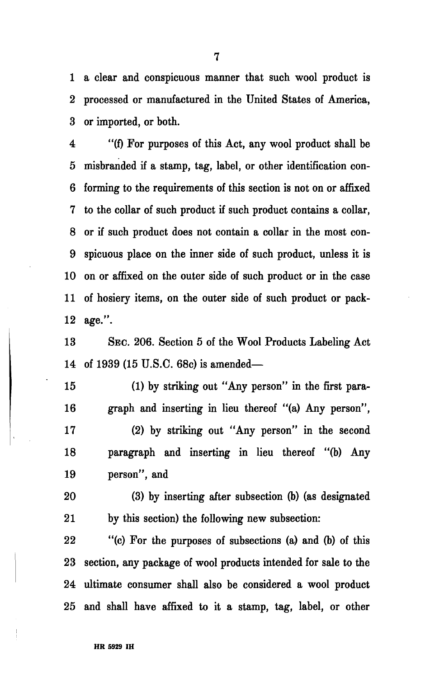1 a clear and conspicuous manner that such wool product is 2 processed or manufactured in the United States of America, 3 or imported, or both.

4 "(f) For purposes of this Act, any wool product shall be 5 misbranded if a stamp, tag, label, or other identification con-6 forming to the requirements of this section is not on or affixed 7 to the collar of such product if such product contains a collar, 8 or if such product does not contain a collar in the most con-9 spicuous place on the inner side of such product, unless it is 10 on or affixed on the outer side of such product or in the case 11 of hosiery items, on the outer side of such product or pack-12 age.".

13 SEC. 206. Section 5 of the Wool Products Labeling Act 14 of 1939 (15 U.S.C. 68c) is amended—

15 (1) by striking out "Any person" in the first para-16 graph and inserting in lieu thereof "(a) Any person",

17 (2) by striking out "Any person" in the second 18 paragraph and inserting in lieu thereof "(b) Any 19 person", and

20 (3) by inserting after subsection (b) (as designated 21 by this section) the following new subsection:

22 "(c) For the purposes of subsections (a) and (b) of this 23 section, any package of wool products intended for sale to the 24 ultimate consumer shall also be considered a wool product 25 and shall have affixed to it a stamp, tag, label, or other

7

 $\frac{1}{2}$